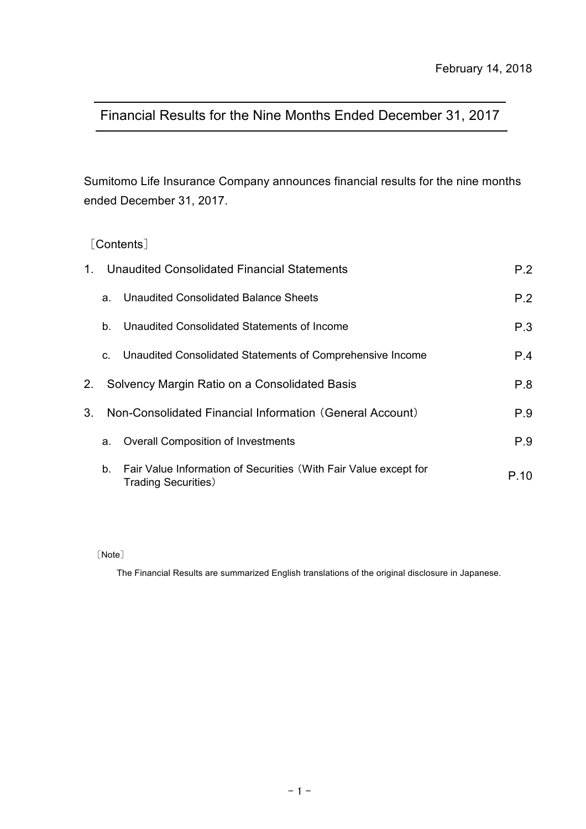# Financial Results for the Nine Months Ended December 31, 2017

Sumitomo Life Insurance Company announces financial results for the nine months ended December 31, 2017.

# [Contents]

| $1_{-}$ | Unaudited Consolidated Financial Statements | P.2                                                                                             |      |
|---------|---------------------------------------------|-------------------------------------------------------------------------------------------------|------|
|         | a.                                          | Unaudited Consolidated Balance Sheets                                                           | P.2  |
|         | b.                                          | Unaudited Consolidated Statements of Income                                                     | P.3  |
|         | C.                                          | Unaudited Consolidated Statements of Comprehensive Income                                       | P.4  |
| 2.      |                                             | Solvency Margin Ratio on a Consolidated Basis                                                   | P.8  |
| $3_{-}$ |                                             | Non-Consolidated Financial Information (General Account)                                        | P.9  |
|         | a.                                          | <b>Overall Composition of Investments</b>                                                       | P.9  |
|         | b.                                          | Fair Value Information of Securities (With Fair Value except for<br><b>Trading Securities</b> ) | P.10 |

[Note]

The Financial Results are summarized English translations of the original disclosure in Japanese.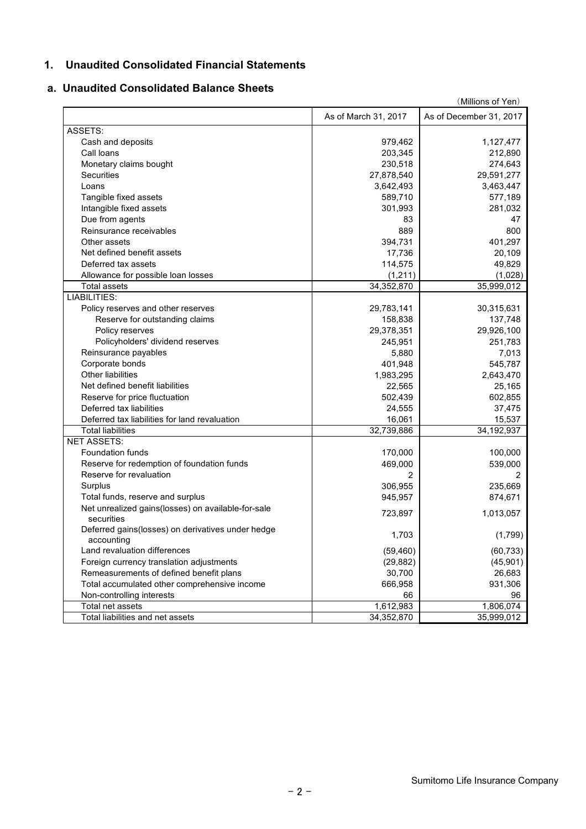#### **1. Unaudited Consolidated Financial Statements**

#### **a. Unaudited Consolidated Balance Sheets**

|                                                                  | (Millions of Yen)    |                         |  |  |  |  |
|------------------------------------------------------------------|----------------------|-------------------------|--|--|--|--|
|                                                                  | As of March 31, 2017 | As of December 31, 2017 |  |  |  |  |
| ASSETS:                                                          |                      |                         |  |  |  |  |
| Cash and deposits                                                | 979,462              | 1,127,477               |  |  |  |  |
| Call loans                                                       | 203,345              | 212,890                 |  |  |  |  |
| Monetary claims bought                                           | 230,518              | 274,643                 |  |  |  |  |
| Securities                                                       | 27,878,540           | 29,591,277              |  |  |  |  |
| Loans                                                            | 3,642,493            | 3,463,447               |  |  |  |  |
| Tangible fixed assets                                            | 589,710              | 577,189                 |  |  |  |  |
| Intangible fixed assets                                          | 301,993              | 281,032                 |  |  |  |  |
| Due from agents                                                  | 83                   | 47                      |  |  |  |  |
| Reinsurance receivables                                          | 889                  | 800                     |  |  |  |  |
| Other assets                                                     | 394,731              | 401,297                 |  |  |  |  |
| Net defined benefit assets                                       | 17,736               | 20,109                  |  |  |  |  |
| Deferred tax assets                                              | 114,575              | 49,829                  |  |  |  |  |
| Allowance for possible loan losses                               | (1, 211)             | (1,028)                 |  |  |  |  |
| <b>Total assets</b>                                              | 34,352,870           | 35,999,012              |  |  |  |  |
| LIABILITIES:                                                     |                      |                         |  |  |  |  |
| Policy reserves and other reserves                               | 29,783,141           | 30,315,631              |  |  |  |  |
| Reserve for outstanding claims                                   | 158,838              | 137,748                 |  |  |  |  |
| Policy reserves                                                  | 29,378,351           | 29,926,100              |  |  |  |  |
| Policyholders' dividend reserves                                 | 245,951              | 251,783                 |  |  |  |  |
| Reinsurance payables                                             | 5,880                | 7,013                   |  |  |  |  |
| Corporate bonds                                                  | 401,948              | 545,787                 |  |  |  |  |
| Other liabilities                                                | 1,983,295            | 2,643,470               |  |  |  |  |
| Net defined benefit liabilities                                  | 22,565               | 25,165                  |  |  |  |  |
| Reserve for price fluctuation                                    | 502,439              | 602,855                 |  |  |  |  |
| Deferred tax liabilities                                         | 24,555               | 37,475                  |  |  |  |  |
| Deferred tax liabilities for land revaluation                    | 16,061               | 15,537                  |  |  |  |  |
| <b>Total liabilities</b>                                         | 32,739,886           | 34, 192, 937            |  |  |  |  |
| <b>NET ASSETS:</b>                                               |                      |                         |  |  |  |  |
| Foundation funds                                                 | 170,000              | 100,000                 |  |  |  |  |
| Reserve for redemption of foundation funds                       | 469,000              | 539,000                 |  |  |  |  |
| Reserve for revaluation                                          | 2                    | 2                       |  |  |  |  |
| Surplus                                                          | 306,955              | 235,669                 |  |  |  |  |
| Total funds, reserve and surplus                                 | 945,957              | 874,671                 |  |  |  |  |
| Net unrealized gains(losses) on available-for-sale<br>securities | 723,897              | 1,013,057               |  |  |  |  |
| Deferred gains(losses) on derivatives under hedge<br>accounting  | 1,703                | (1,799)                 |  |  |  |  |
| Land revaluation differences                                     | (59, 460)            | (60, 733)               |  |  |  |  |
| Foreign currency translation adjustments                         | (29, 882)            | (45, 901)               |  |  |  |  |
| Remeasurements of defined benefit plans                          | 30,700               | 26,683                  |  |  |  |  |
| Total accumulated other comprehensive income                     | 666,958              | 931,306                 |  |  |  |  |
| Non-controlling interests                                        | 66                   | 96                      |  |  |  |  |
| Total net assets                                                 | 1,612,983            | 1,806,074               |  |  |  |  |
| Total liabilities and net assets                                 | 34,352,870           | 35,999,012              |  |  |  |  |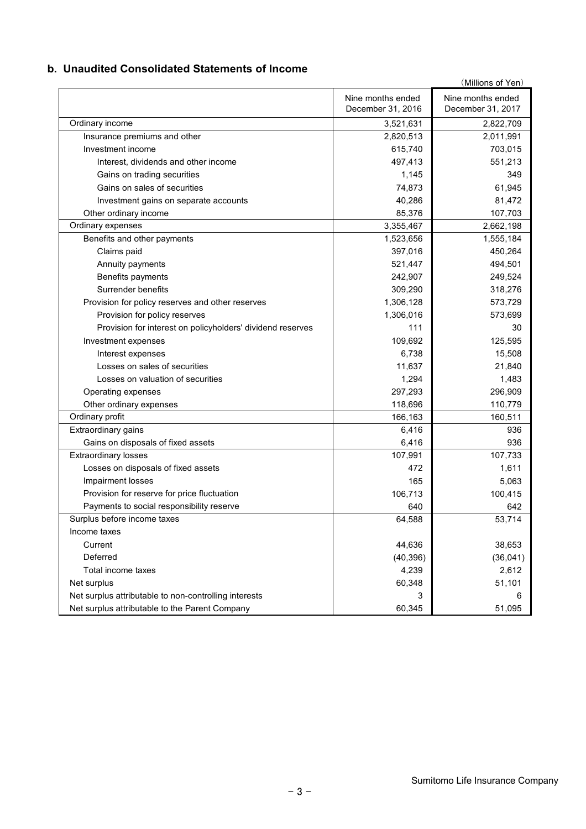#### **b. Unaudited Consolidated Statements of Income**

|                                                            |                                        | (Millions of Yen)                      |
|------------------------------------------------------------|----------------------------------------|----------------------------------------|
|                                                            | Nine months ended<br>December 31, 2016 | Nine months ended<br>December 31, 2017 |
| Ordinary income                                            | 3,521,631                              | 2,822,709                              |
| Insurance premiums and other                               | 2,820,513                              | 2,011,991                              |
| Investment income                                          | 615,740                                | 703,015                                |
| Interest, dividends and other income                       | 497,413                                | 551,213                                |
| Gains on trading securities                                | 1,145                                  | 349                                    |
| Gains on sales of securities                               | 74,873                                 | 61,945                                 |
| Investment gains on separate accounts                      | 40,286                                 | 81,472                                 |
| Other ordinary income                                      | 85,376                                 | 107,703                                |
| Ordinary expenses                                          | 3,355,467                              | 2,662,198                              |
| Benefits and other payments                                | 1,523,656                              | 1,555,184                              |
| Claims paid                                                | 397,016                                | 450,264                                |
| Annuity payments                                           | 521,447                                | 494,501                                |
| Benefits payments                                          | 242,907                                | 249,524                                |
| Surrender benefits                                         | 309,290                                | 318,276                                |
| Provision for policy reserves and other reserves           | 1,306,128                              | 573,729                                |
| Provision for policy reserves                              | 1,306,016                              | 573,699                                |
| Provision for interest on policyholders' dividend reserves | 111                                    | 30                                     |
| Investment expenses                                        | 109,692                                | 125,595                                |
| Interest expenses                                          | 6,738                                  | 15,508                                 |
| Losses on sales of securities                              | 11,637                                 | 21,840                                 |
| Losses on valuation of securities                          | 1,294                                  | 1,483                                  |
| Operating expenses                                         | 297,293                                | 296,909                                |
| Other ordinary expenses                                    | 118,696                                | 110,779                                |
| Ordinary profit                                            | 166,163                                | 160,511                                |
| Extraordinary gains                                        | 6,416                                  | 936                                    |
| Gains on disposals of fixed assets                         | 6,416                                  | 936                                    |
| <b>Extraordinary losses</b>                                | 107,991                                | 107,733                                |
| Losses on disposals of fixed assets                        | 472                                    | 1,611                                  |
| Impairment losses                                          | 165                                    | 5,063                                  |
| Provision for reserve for price fluctuation                | 106,713                                | 100,415                                |
| Payments to social responsibility reserve                  | 640                                    | 642                                    |
| Surplus before income taxes                                | 64,588                                 | 53,714                                 |
| Income taxes                                               |                                        |                                        |
| Current                                                    | 44,636                                 | 38,653                                 |
| Deferred                                                   | (40, 396)                              | (36,041)                               |
| Total income taxes                                         | 4,239                                  | 2,612                                  |
| Net surplus                                                | 60,348                                 | 51,101                                 |
| Net surplus attributable to non-controlling interests      | 3                                      | 6                                      |
| Net surplus attributable to the Parent Company             | 60,345                                 | 51,095                                 |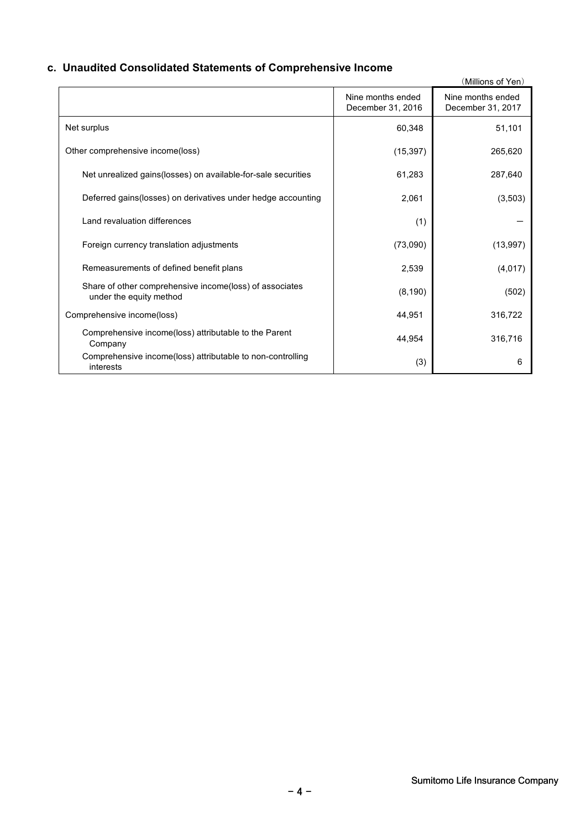# **c. Unaudited Consolidated Statements of Comprehensive Income**

|                                                                                    |                                        | (Millions of Yen)                      |
|------------------------------------------------------------------------------------|----------------------------------------|----------------------------------------|
|                                                                                    | Nine months ended<br>December 31, 2016 | Nine months ended<br>December 31, 2017 |
| Net surplus                                                                        | 60,348                                 | 51,101                                 |
| Other comprehensive income(loss)                                                   | (15, 397)                              | 265,620                                |
| Net unrealized gains(losses) on available-for-sale securities                      | 61,283                                 | 287,640                                |
| Deferred gains(losses) on derivatives under hedge accounting                       | 2,061                                  | (3,503)                                |
| Land revaluation differences                                                       | (1)                                    |                                        |
| Foreign currency translation adjustments                                           | (73,090)                               | (13, 997)                              |
| Remeasurements of defined benefit plans                                            | 2,539                                  | (4,017)                                |
| Share of other comprehensive income(loss) of associates<br>under the equity method | (8, 190)                               | (502)                                  |
| Comprehensive income(loss)                                                         | 44,951                                 | 316,722                                |
| Comprehensive income(loss) attributable to the Parent<br>Company                   | 44,954                                 | 316,716                                |
| Comprehensive income(loss) attributable to non-controlling<br>interests            | (3)                                    | 6                                      |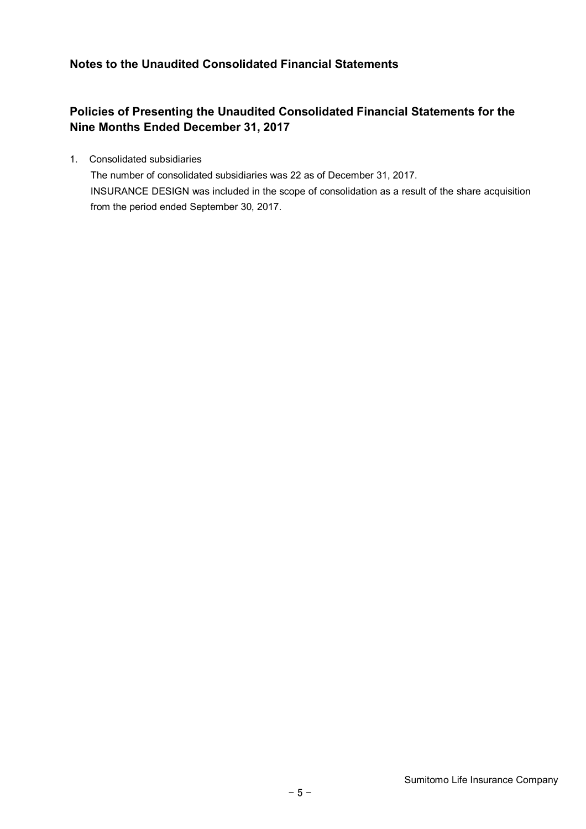# **Notes to the Unaudited Consolidated Financial Statements**

# **Policies of Presenting the Unaudited Consolidated Financial Statements for the Nine Months Ended December 31, 2017**

1. Consolidated subsidiaries

The number of consolidated subsidiaries was 22 as of December 31, 2017. INSURANCE DESIGN was included in the scope of consolidation as a result of the share acquisition from the period ended September 30, 2017.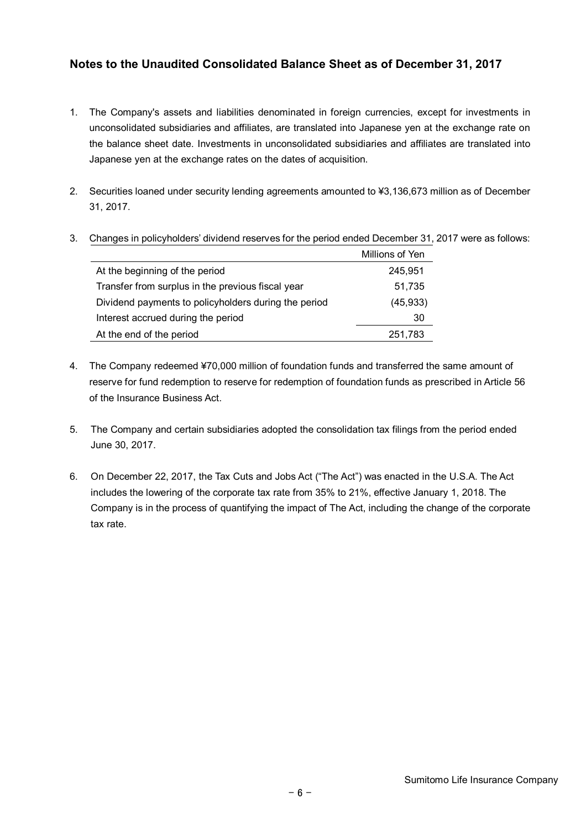# **Notes to the Unaudited Consolidated Balance Sheet as of December 31, 2017**

- 1. The Company's assets and liabilities denominated in foreign currencies, except for investments in unconsolidated subsidiaries and affiliates, are translated into Japanese yen at the exchange rate on the balance sheet date. Investments in unconsolidated subsidiaries and affiliates are translated into Japanese yen at the exchange rates on the dates of acquisition.
- 2. Securities loaned under security lending agreements amounted to ¥3,136,673 million as of December 31, 2017.

|                                                      | Millions of Yen |
|------------------------------------------------------|-----------------|
| At the beginning of the period                       | 245.951         |
| Transfer from surplus in the previous fiscal year    | 51,735          |
| Dividend payments to policyholders during the period | (45, 933)       |
| Interest accrued during the period                   | 30              |

At the end of the period 251,783

3. Changes in policyholders' dividend reserves for the period ended December 31, 2017 were as follows:

- 4. The Company redeemed ¥70,000 million of foundation funds and transferred the same amount of reserve for fund redemption to reserve for redemption of foundation funds as prescribed in Article 56 of the Insurance Business Act.
- 5. The Company and certain subsidiaries adopted the consolidation tax filings from the period ended June 30, 2017.
- 6. On December 22, 2017, the Tax Cuts and Jobs Act ("The Act") was enacted in the U.S.A. The Act includes the lowering of the corporate tax rate from 35% to 21%, effective January 1, 2018. The Company is in the process of quantifying the impact of The Act, including the change of the corporate tax rate.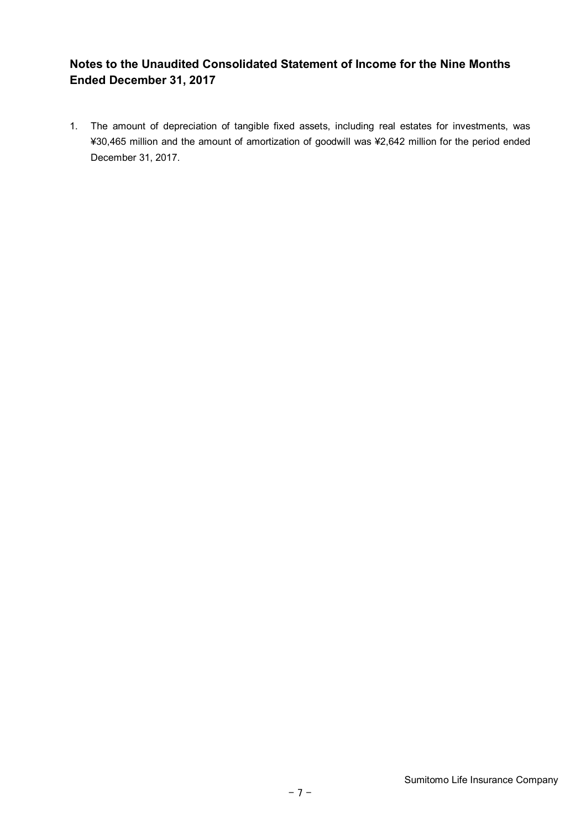# **Notes to the Unaudited Consolidated Statement of Income for the Nine Months Ended December 31, 2017**

1. The amount of depreciation of tangible fixed assets, including real estates for investments, was ¥30,465 million and the amount of amortization of goodwill was ¥2,642 million for the period ended December 31, 2017.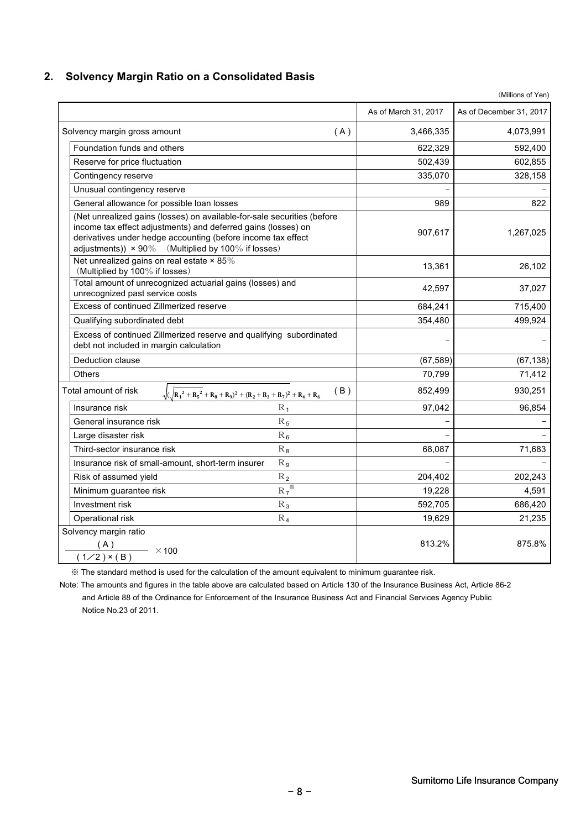#### **2. Solvency Margin Ratio on a Consolidated Basis**

|                                                                                                                                                                                                                                                                       | As of March 31, 2017 | As of December 31, 2017 |
|-----------------------------------------------------------------------------------------------------------------------------------------------------------------------------------------------------------------------------------------------------------------------|----------------------|-------------------------|
| Solvency margin gross amount<br>(A)                                                                                                                                                                                                                                   | 3,466,335            | 4,073,991               |
| Foundation funds and others                                                                                                                                                                                                                                           | 622,329              | 592,400                 |
| Reserve for price fluctuation                                                                                                                                                                                                                                         | 502,439              | 602,855                 |
| Contingency reserve                                                                                                                                                                                                                                                   | 335,070              | 328,158                 |
| Unusual contingency reserve                                                                                                                                                                                                                                           |                      |                         |
| General allowance for possible loan losses                                                                                                                                                                                                                            | 989                  | 822                     |
| (Net unrealized gains (losses) on available-for-sale securities (before<br>income tax effect adjustments) and deferred gains (losses) on<br>derivatives under hedge accounting (before income tax effect<br>adjustments)) $\times$ 90% (Multiplied by 100% if losses) | 907,617              | 1,267,025               |
| Net unrealized gains on real estate $\times$ 85%<br>(Multiplied by 100% if losses)                                                                                                                                                                                    | 13,361               | 26,102                  |
| Total amount of unrecognized actuarial gains (losses) and<br>unrecognized past service costs                                                                                                                                                                          | 42,597               | 37,027                  |
| Excess of continued Zillmerized reserve                                                                                                                                                                                                                               | 684,241              | 715,400                 |
| Qualifying subordinated debt                                                                                                                                                                                                                                          | 354,480              | 499,924                 |
| Excess of continued Zillmerized reserve and qualifying subordinated<br>debt not included in margin calculation                                                                                                                                                        |                      |                         |
| Deduction clause                                                                                                                                                                                                                                                      | (67, 589)            | (67, 138)               |
| Others                                                                                                                                                                                                                                                                | 70,799               | 71,412                  |
| Total amount of risk<br>(B)<br>$\sqrt{(R_1^2+R_5^2+R_8+R_9)^2+(R_2+R_3+R_7)^2+R_4+R_6)}$                                                                                                                                                                              | 852,499              | 930,251                 |
| $R_1$<br>Insurance risk                                                                                                                                                                                                                                               | 97,042               | 96,854                  |
| General insurance risk<br>$R_5$                                                                                                                                                                                                                                       |                      |                         |
| $R_6$<br>Large disaster risk                                                                                                                                                                                                                                          |                      |                         |
| Third-sector insurance risk<br>$R_8$                                                                                                                                                                                                                                  | 68,087               | 71,683                  |
| Insurance risk of small-amount, short-term insurer<br>$R_{9}$                                                                                                                                                                                                         |                      |                         |
| Risk of assumed yield<br>$R_2$                                                                                                                                                                                                                                        | 204,402              | 202,243                 |
| $R_7$<br>Minimum guarantee risk                                                                                                                                                                                                                                       | 19,228               | 4,591                   |
| Investment risk<br>$R_3$                                                                                                                                                                                                                                              | 592,705              | 686,420                 |
| $R_4$<br>Operational risk                                                                                                                                                                                                                                             | 19,629               | 21,235                  |
| Solvency margin ratio<br>(A)<br>$\frac{(A)}{(1/2) \times (B)}$ × 100                                                                                                                                                                                                  | 813.2%               | 875.8%                  |
|                                                                                                                                                                                                                                                                       |                      |                         |

※ The standard method is used for the calculation of the amount equivalent to minimum guarantee risk.

Note: The amounts and figures in the table above are calculated based on Article 130 of the Insurance Business Act, Article 86-2 and Article 88 of the Ordinance for Enforcement of the Insurance Business Act and Financial Services Agency Public Notice No.23 of 2011.

(Millions of Yen)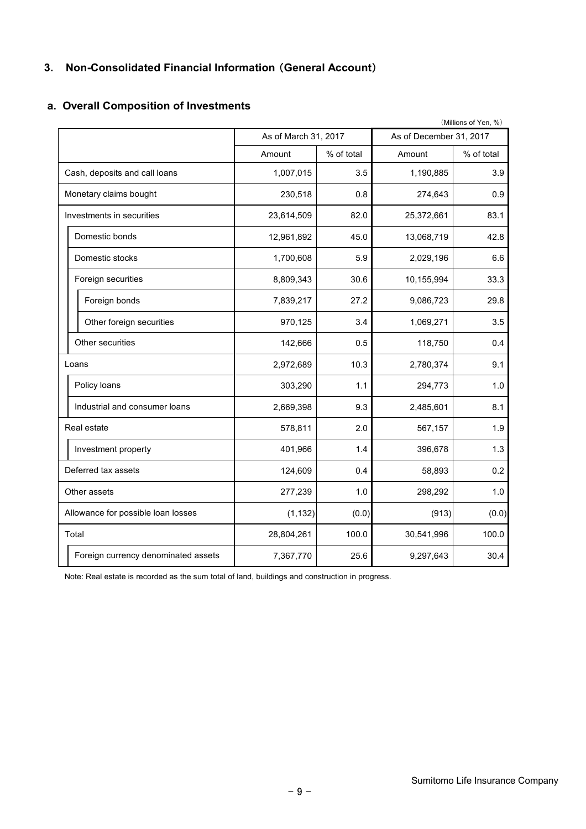# **3. Non-Consolidated Financial Information** (**General Account**)

|                                     |                      |            |                         | (Millions of Yen, %) |
|-------------------------------------|----------------------|------------|-------------------------|----------------------|
|                                     | As of March 31, 2017 |            | As of December 31, 2017 |                      |
|                                     | Amount               | % of total | Amount                  | % of total           |
| Cash, deposits and call loans       | 1,007,015            | 3.5        | 1,190,885               | 3.9                  |
| Monetary claims bought              | 230,518              | 0.8        | 274,643                 | 0.9                  |
| Investments in securities           | 23,614,509           | 82.0       | 25,372,661              | 83.1                 |
| Domestic bonds                      | 12,961,892           | 45.0       | 13,068,719              | 42.8                 |
| Domestic stocks                     | 1,700,608            | 5.9        | 2,029,196               | 6.6                  |
| Foreign securities                  | 8,809,343            | 30.6       | 10,155,994              | 33.3                 |
| Foreign bonds                       | 7,839,217            | 27.2       | 9,086,723               | 29.8                 |
| Other foreign securities            | 970,125              | 3.4        | 1,069,271               | 3.5                  |
| Other securities                    | 142,666              | 0.5        | 118,750                 | 0.4                  |
| Loans                               | 2,972,689            | 10.3       | 2,780,374               | 9.1                  |
| Policy loans                        | 303,290              | 1.1        | 294,773                 | 1.0                  |
| Industrial and consumer loans       | 2,669,398            | 9.3        | 2,485,601               | 8.1                  |
| Real estate                         | 578,811              | 2.0        | 567,157                 | 1.9                  |
| Investment property                 | 401,966              | 1.4        | 396,678                 | 1.3                  |
| Deferred tax assets                 | 124,609              | 0.4        | 58,893                  | 0.2                  |
| Other assets                        | 277,239              | 1.0        | 298,292                 | 1.0                  |
| Allowance for possible loan losses  | (1, 132)             | (0.0)      | (913)                   | (0.0)                |
| Total                               | 28,804,261           | 100.0      | 30,541,996              | 100.0                |
| Foreign currency denominated assets | 7,367,770            | 25.6       | 9,297,643               | 30.4                 |

#### **a. Overall Composition of Investments**

Note: Real estate is recorded as the sum total of land, buildings and construction in progress.